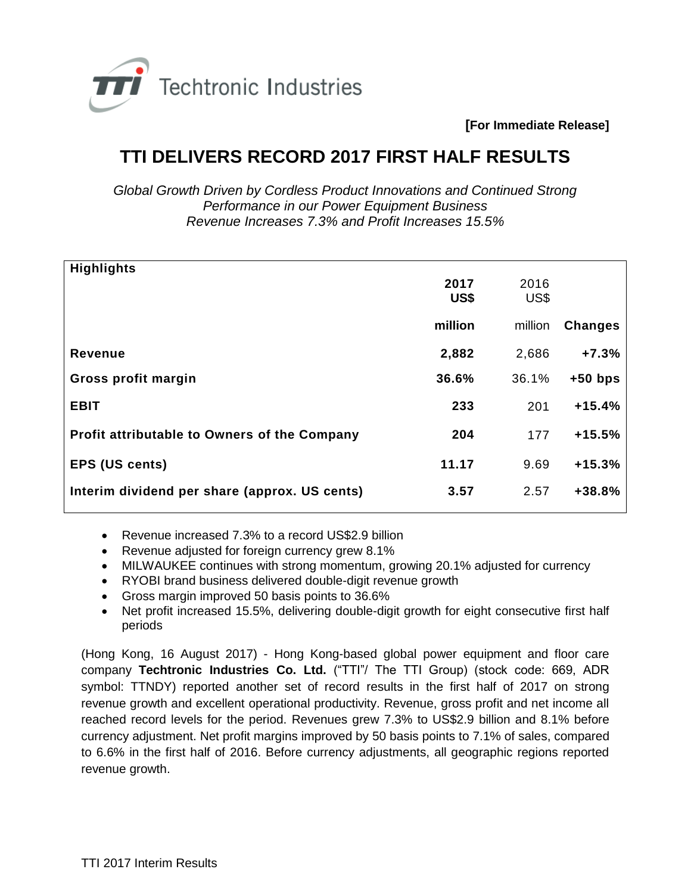

**[For Immediate Release]**

## **TTI DELIVERS RECORD 2017 FIRST HALF RESULTS**

*Global Growth Driven by Cordless Product Innovations and Continued Strong Performance in our Power Equipment Business Revenue Increases 7.3% and Profit Increases 15.5%*

| <b>Highlights</b>                             |         |         |                |
|-----------------------------------------------|---------|---------|----------------|
|                                               | 2017    | 2016    |                |
|                                               | US\$    | US\$    |                |
|                                               |         |         |                |
|                                               | million | million | <b>Changes</b> |
| <b>Revenue</b>                                | 2,882   | 2,686   | $+7.3%$        |
|                                               |         |         |                |
| Gross profit margin                           | 36.6%   | 36.1%   | $+50$ bps      |
|                                               |         |         |                |
| <b>EBIT</b>                                   | 233     | 201     | $+15.4%$       |
| Profit attributable to Owners of the Company  | 204     | 177     | $+15.5%$       |
|                                               |         |         |                |
| <b>EPS (US cents)</b>                         | 11.17   | 9.69    | $+15.3%$       |
|                                               |         |         |                |
| Interim dividend per share (approx. US cents) | 3.57    | 2.57    | +38.8%         |
|                                               |         |         |                |

- Revenue increased 7.3% to a record US\$2.9 billion
- Revenue adjusted for foreign currency grew 8.1%
- MILWAUKEE continues with strong momentum, growing 20.1% adjusted for currency
- RYOBI brand business delivered double-digit revenue growth
- Gross margin improved 50 basis points to 36.6%
- Net profit increased 15.5%, delivering double-digit growth for eight consecutive first half periods

(Hong Kong, 16 August 2017) - Hong Kong-based global power equipment and floor care company **Techtronic Industries Co. Ltd.** ("TTI"/ The TTI Group) (stock code: 669, ADR symbol: TTNDY) reported another set of record results in the first half of 2017 on strong revenue growth and excellent operational productivity. Revenue, gross profit and net income all reached record levels for the period. Revenues grew 7.3% to US\$2.9 billion and 8.1% before currency adjustment. Net profit margins improved by 50 basis points to 7.1% of sales, compared to 6.6% in the first half of 2016. Before currency adjustments, all geographic regions reported revenue growth.